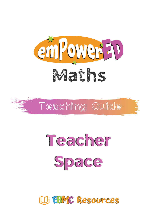



# Teacher Space

### UD EBMC Resources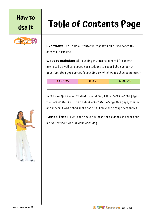

# **Use It Table of Contents Page**

**Overview:** The Table of Contents Page lists all of the concepts covered in the unit.

**What It Includes:** All Learning Intentions covered in the unit are listed as well as a space for students to record the number of questions they got correct (according to which pages they completed).

| <b>TAHI /15</b> | <b>RUA /15</b> | <b>TORU /15</b> |
|-----------------|----------------|-----------------|
|                 |                |                 |

In the example above, students should only fill in marks for the pages they attempted (e.g. if a student attempted orange Rua page, then he or she would write their mark out of 15 below the orange rectangle).

**Lesson Time:** It will take about 1 minute for students to record the marks for their work if done each day.



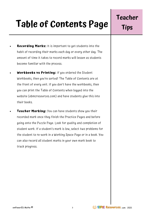# **Table of Contents Page**

- **Recording Marks:** It is important to get students into the habit of recording their marks each day or every other day. The amount of time it takes to record marks will lessen as students become familiar with the process.
- **Workbooks vs Printing:** If you ordered the Student Workbooks, then you're sorted! The Table of Contents are at the front of every unit. If you don't have the workbooks, then you can print the Table of Contents when logged into the website (ebmcresources.com) and have students glue this into their books.
- **Teacher Marking:** You can have students show you their recorded mark once they finish the Practice Pages and before going onto the Puzzle Page. Look for quality and completion of student work. If a student's mark is low, select two problems for the student to re-work in a Working Space Page or in a book. You can also record all student marks in your own mark book to track progress.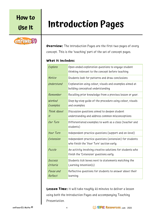### emPower ED

## **Use It Introduction Pages**

**Overview:** The Introduction Pages are the first two pages of every concept. This is the 'teaching' part of the set of concept pages.

#### **What It Includes:**

| Explore              | Open-ended exploration questions to engage student<br>thinking relevant to the concept before teaching |
|----------------------|--------------------------------------------------------------------------------------------------------|
| Notice               | Students look for patterns and draw conclusions                                                        |
| Understand           | Explanation using colour, visuals and examples aimed at<br>building conceptual understanding           |
| Remember             | Recalling prior knowledge from a previous lesson or year.                                              |
| Worked<br>Examples   | Step-by=step guide of the procedure using colour, visuals<br>and examples                              |
| Think About<br>$\mu$ | Discussion questions aimed to deepen student<br>understanding and address common misconceptions        |
| Our Turn             | Differentiated examples to work as a class (teacher and<br>students)                                   |
| <b>Your Turn</b>     | Independent practice questions (support and on-level)                                                  |
| Extension            | Independent practice questions (extension) for students<br>who finish the 'Your Turn' section early    |
| Puzzle               | An activity involving creative solutions for students who<br>finish the 'Extension' questions early    |
| Success<br>Criteria  | Students tick boxes next to statements matching the<br>Learning Intention(s)                           |
| Pause and<br>Reflect | Reflective questions for students to answer about their<br>learning                                    |

**Lesson Time:** It will take roughly 45 minutes to deliver a lesson using both the Introduction Pages and accompanying Teaching Presentation.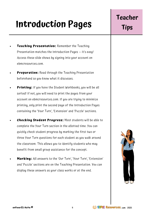## **Introduction Pages**

- **Teaching Presentation:** Remember the Teaching Presentation matches the Introduction Pages — it's easy! Access these slide shows by signing into your account on ebmcresources.com.
- **Preparation:** Read through the Teaching Presentation beforehand so you know what it discusses.
- **Printing:** If you have the Student Workbooks, you will be all sorted! If not, you will need to print the pages from your account on ebmcresources.com. If you are trying to minimize printing, only print the second page of the Introduction Pages containing the 'Your Turn', 'Extension' and 'Puzzle' sections.
- **Checking Student Progress:** Most students will be able to complete the Your Turn section in the allotted time. You can quickly check student progress by marking the first two or three Your Turn questions for each student as you walk around the classroom. This allows you to identify students who may benefit from small group assistance for the concept.
- **Marking:** All answers to the 'Our Turn', 'Your Turn', 'Extension' and 'Puzzle' sections are on the Teaching Presentation. You can display these answers as your class works or at the end.

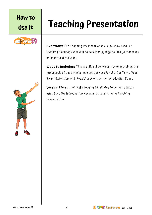### empower =

# **Use It Teaching Presentation**

**Overview:** The Teaching Presentation is a slide show used for teaching a concept that can be accessed by logging into your account on ebmcresources.com.

**What It Includes:** This is a slide show presentation matching the Introduction Pages. It also includes answers for the 'Our Turn', 'Your Turn', 'Extension' and 'Puzzle' sections of the Introduction Pages.

**Lesson Time:** It will take roughly 45 minutes to deliver a lesson using both the Introduction Pages and accompanying Teaching Presentation.



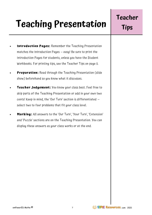# **Teaching Presentation**

- **Introduction Pages:** Remember the Teaching Presentation matches the Introduction Pages — easy! Be sure to print the Introduction Pages for students, unless you have the Student Workbooks. For printing tips, see the Teacher Tips on page 5.
- **Preparation:** Read through the Teaching Presentation (slide show) beforehand so you know what it discusses.
- **Teacher Judgement:** You know your class best. Feel free to skip parts of the Teaching Presentation or add in your own two cents! Keep in mind, the 'Our Turn' section is differentiated select two to four problems that fit your class level.
- **Marking:** All answers to the 'Our Turn', 'Your Turn', 'Extension' and 'Puzzle' sections are on the Teaching Presentation. You can display these answers as your class works or at the end.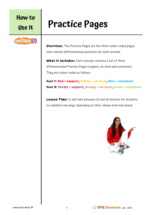### emPower =

### **Use It Practice Pages**

**Overview:** The Practice Pages are the three colour coded pages that contain differentiated questions for each concept.

**What It Includes:** Each concept contains a set of three differentiated Practice Pages (support, on -level and extension). They are colour coded as follows:

#### **Year 7: Red = support, Yellow = on-level, Blue = extension Year 8: Purple = support, Orange = on-level, Green = extension**

**Lesson Time:** It will take between 20 and 45 minutes for students to complete one page, depending on their chosen level and speed.



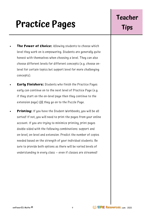## **Practice Pages**

- **The Power of Choice:** Allowing students to choose which level they work on is empowering. Students are generally quite honest with themselves when choosing a level. They can also choose different levels for different concepts (e.g. choose on level for certain topics but support level for more challenging concepts).
- **Early Finishers:** Students who finish the Practice Pages early can continue on to the next level of Practice Page (e.g. if they start on the on-level page then they continue to the extension page) OR they go on to the Puzzle Page.
- **Printing:** If you have the Student Workbooks, you will be all sorted! If not, you will need to print the pages from your online account. If you are trying to minimize printing, print pages double-sided with the following combinations: support and on-level; on-level and extension. Predict the number of copies needed based on the strength of your individual students. Be sure to provide both options as there will be varied levels of understanding in every class — even if classes are streamed!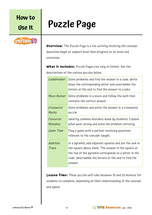empower =

# **Use It Puzzle Page**

**Overview:** The Puzzle Page is a fun activity involving the concept. Questions begin at support level then progress to on -level and extension.

**What It Includes:** Puzzle Pages can vary in format. See the descriptions of the various puzzles below.

| Codebreaker           | Solve problems and find the answer in a code. Write<br>down the corresponding letter and unscramble the<br>letters at the end to find the answer to a joke.                                                                            |
|-----------------------|----------------------------------------------------------------------------------------------------------------------------------------------------------------------------------------------------------------------------------------|
| Maze Runner           | Solve problems in a maze and follow the path that<br>contains the correct answer.                                                                                                                                                      |
| Crossword<br>Maths    | Solve problems and write the answer in a crossword<br>puzzle.                                                                                                                                                                          |
| Favourite<br>Mistakes | Identify common mistakes made by students. Explain<br>what went wrong and solve the problem correctly.                                                                                                                                 |
| Game Time             | Play a game with a partner involving questions<br>relevant to the concept taught.                                                                                                                                                      |
| Addition<br>Trees     | In a pyramid, add adjacent squares and put the sum in<br>the square above them. The answer in the square at<br>the top of the pyramid corresponds to a letter in the<br>code. Unscramble the letters at the end to find the<br>answer. |

**Lesson Time:** These puzzles will take between 10 and 20 minutes for students to complete, depending on their understanding of the concept and speed.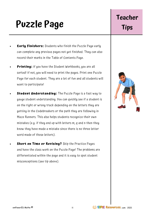## **Puzzle Page**

- **Early Finishers:** Students who finish the Puzzle Page early can complete any previous pages not yet finished. They can also record their marks in the Table of Contents Page.
- **Printing:** If you have the Student Workbooks, you are all sorted! If not, you will need to print the pages. Print one Puzzle Page for each student. They are a lot of fun and all students will want to participate!
- **Student Understanding:** The Puzzle Page is a fast way to gauge student understanding. You can quickly see if a student is on the right or wrong track depending on the letters they are getting in the Codebreakers or the path they are following in Maze Runners. This also helps students recognize their own mistakes (e.g. if they end up with letters m, q and n then they know they have made a mistake since there is no three letter word made of those letters).
	- **Short on Time or Revising?** Skip the Practice Pages and have the class work on the Puzzle Page! The problems are differentiated within the page and it is easy to spot student misconceptions (see tip above).

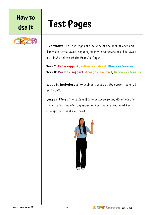### **Use It Test Pages**



**Overview:** The Test Pages are included at the back of each unit. There are three levels (support, on-level and extension). The levels match the colours of the Practice Pages.

```
Year 7: Red = support, Yellow = on-level, Blue = extension
Year 8: Purple = support, Orange = on-level, Green = extension
```
**What It Includes:** 15-30 problems based on the content covered in the unit.

**Lesson Time:** The tests will take between 30 and 60 minutes for students to complete , depending on their understanding of the concept, test level and speed.

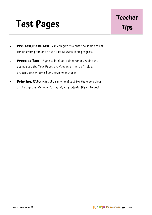# **Test Pages**

- **Pre-Test/Post-Test:** You can give students the same test at the beginning and end of the unit to track their progress.
- **Practice Test:** If your school has a department-wide test, you can use the Test Pages provided as either an in -class practice test or take-home revision material.
- **Printing:** Either print the same level test for the whole class or the appropriate level for individual students. It's up to you!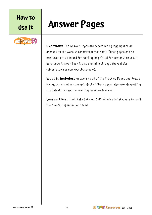### emPower =

### **Use It Answer Pages**

**Overview:** The Answer Pages are accessible by logging into an account on the website (ebmcresources.com). These pages can be projected onto a board for marking or printed for students to use. A hard-copy Answer Book is also available through the website (ebmcresources.com/purchase-now).

**What It Includes:** Answers to all of the Practice Pages and Puzzle Pages, organised by concept. Most of these pages also provide working so students can spot where they have made errors.

**Lesson Time:** It will take between 5-10 minutes for students to mark their work, depending on speed.